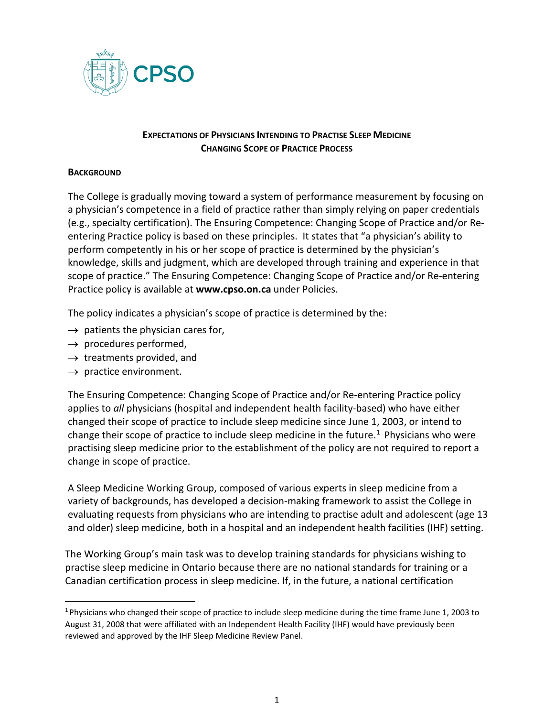

## **EXPECTATIONS OF PHYSICIANS INTENDING TO PRACTISE SLEEP MEDICINE CHANGING SCOPE OF PRACTICE PROCESS**

## **BACKGROUND**

The College is gradually moving toward a system of performance measurement by focusing on a physician's competence in a field of practice rather than simply relying on paper credentials (e.g., specialty certification). The Ensuring Competence: Changing Scope of Practice and/or Reentering Practice policy is based on these principles. It states that "a physician's ability to perform competently in his or her scope of practice is determined by the physician's knowledge, skills and judgment, which are developed through training and experience in that scope of practice." The Ensuring Competence: Changing Scope of Practice and/or Re-entering Practice policy is available at **[www.cpso.on.ca](http://www.cpso.on.ca/)** under Policies.

The policy indicates a physician's scope of practice is determined by the:

- $\rightarrow$  patients the physician cares for,
- $\rightarrow$  procedures performed,
- $\rightarrow$  treatments provided, and
- $\rightarrow$  practice environment.

The Ensuring Competence: Changing Scope of Practice and/or Re-entering Practice policy applies to *all* physicians (hospital and independent health facility-based) who have either changed their scope of practice to include sleep medicine since June 1, 2003, or intend to change their scope of practice to include sleep medicine in the future.<sup>[1](#page-0-0)</sup> Physicians who were practising sleep medicine prior to the establishment of the policy are not required to report a change in scope of practice.

A Sleep Medicine Working Group, composed of various experts in sleep medicine from a variety of backgrounds, has developed a decision-making framework to assist the College in evaluating requests from physicians who are intending to practise adult and adolescent (age 13 and older) sleep medicine, both in a hospital and an independent health facilities (IHF) setting.

The Working Group's main task was to develop training standards for physicians wishing to practise sleep medicine in Ontario because there are no national standards for training or a Canadian certification process in sleep medicine. If, in the future, a national certification

<span id="page-0-0"></span><sup>&</sup>lt;sup>1</sup> Physicians who changed their scope of practice to include sleep medicine during the time frame June 1, 2003 to August 31, 2008 that were affiliated with an Independent Health Facility (IHF) would have previously been reviewed and approved by the IHF Sleep Medicine Review Panel.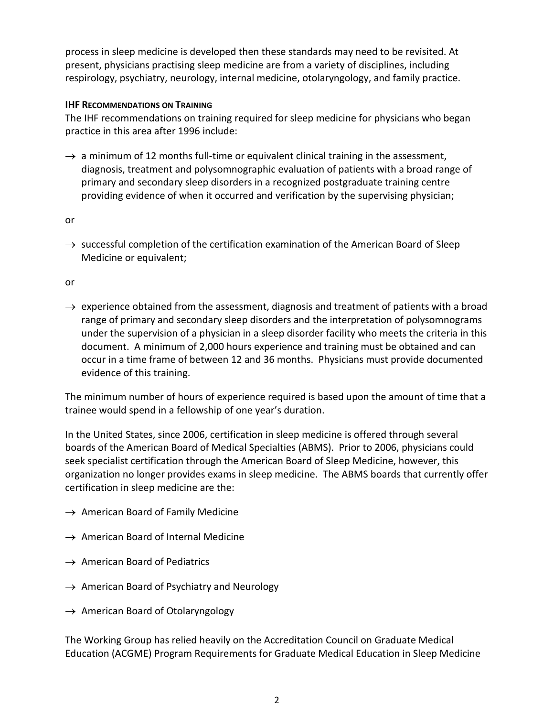process in sleep medicine is developed then these standards may need to be revisited. At present, physicians practising sleep medicine are from a variety of disciplines, including respirology, psychiatry, neurology, internal medicine, otolaryngology, and family practice.

## **IHF RECOMMENDATIONS ON TRAINING**

The IHF recommendations on training required for sleep medicine for physicians who began practice in this area after 1996 include:

 $\rightarrow$  a minimum of 12 months full-time or equivalent clinical training in the assessment, diagnosis, treatment and polysomnographic evaluation of patients with a broad range of primary and secondary sleep disorders in a recognized postgraduate training centre providing evidence of when it occurred and verification by the supervising physician;

or

 $\rightarrow$  successful completion of the certification examination of the American Board of Sleep Medicine or equivalent;

or

 $\rightarrow$  experience obtained from the assessment, diagnosis and treatment of patients with a broad range of primary and secondary sleep disorders and the interpretation of polysomnograms under the supervision of a physician in a sleep disorder facility who meets the criteria in this document. A minimum of 2,000 hours experience and training must be obtained and can occur in a time frame of between 12 and 36 months. Physicians must provide documented evidence of this training.

The minimum number of hours of experience required is based upon the amount of time that a trainee would spend in a fellowship of one year's duration.

In the United States, since 2006, certification in sleep medicine is offered through several boards of the American Board of Medical Specialties (ABMS). Prior to 2006, physicians could seek specialist certification through the American Board of Sleep Medicine, however, this organization no longer provides exams in sleep medicine. The ABMS boards that currently offer certification in sleep medicine are the:

- $\rightarrow$  American Board of Family Medicine
- $\rightarrow$  American Board of Internal Medicine
- $\rightarrow$  American Board of Pediatrics
- $\rightarrow$  American Board of Psychiatry and Neurology
- $\rightarrow$  American Board of Otolaryngology

The Working Group has relied heavily on the Accreditation Council on Graduate Medical Education (ACGME) Program Requirements for Graduate Medical Education in Sleep Medicine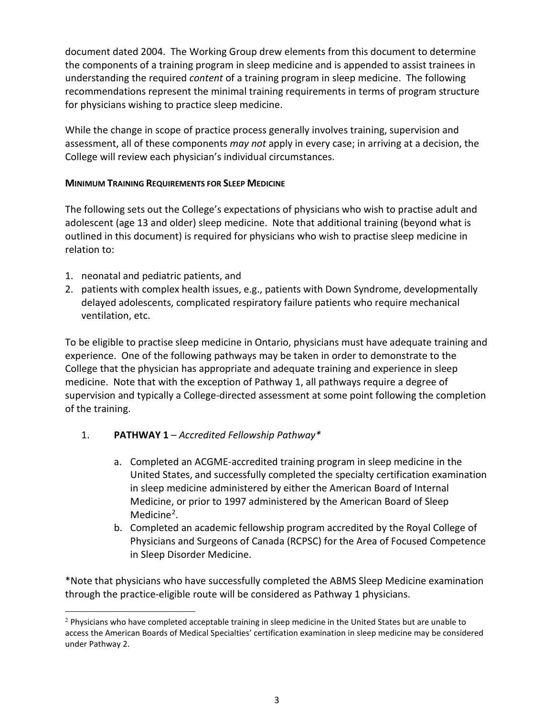document dated 2004. The Working Group drew elements from this document to determine the components of a training program in sleep medicine and is appended to assist trainees in understanding the required *content* of a training program in sleep medicine. The following recommendations represent the minimal training requirements in terms of program structure for physicians wishing to practice sleep medicine.

While the change in scope of practice process generally involves training, supervision and assessment, all of these components *may not* apply in every case; in arriving at a decision, the College will review each physician's individual circumstances.

## **MINIMUM TRAINING REQUIREMENTS FOR SLEEP MEDICINE**

The following sets out the College's expectations of physicians who wish to practise adult and adolescent (age 13 and older) sleep medicine. Note that additional training (beyond what is outlined in this document) is required for physicians who wish to practise sleep medicine in relation to:

- 1. neonatal and pediatric patients, and
- 2. patients with complex health issues, e.g., patients with Down Syndrome, developmentally delayed adolescents, complicated respiratory failure patients who require mechanical ventilation, etc.

To be eligible to practise sleep medicine in Ontario, physicians must have adequate training and experience. One of the following pathways may be taken in order to demonstrate to the College that the physician has appropriate and adequate training and experience in sleep medicine. Note that with the exception of Pathway 1, all pathways require a degree of supervision and typically a College-directed assessment at some point following the completion of the training.

# 1. **PATHWAY 1** – *Accredited Fellowship Pathway\**

- a. Completed an ACGME-accredited training program in sleep medicine in the United States, and successfully completed the specialty certification examination in sleep medicine administered by either the American Board of Internal Medicine, or prior to 1997 administered by the American Board of Sleep Medicine<sup>[2](#page-2-0)</sup>.
- b. Completed an academic fellowship program accredited by the Royal College of Physicians and Surgeons of Canada (RCPSC) for the Area of Focused Competence in Sleep Disorder Medicine.

\*Note that physicians who have successfully completed the ABMS Sleep Medicine examination through the practice-eligible route will be considered as Pathway 1 physicians.

<span id="page-2-0"></span><sup>&</sup>lt;sup>2</sup> Physicians who have completed acceptable training in sleep medicine in the United States but are unable to access the American Boards of Medical Specialties' certification examination in sleep medicine may be considered under Pathway 2.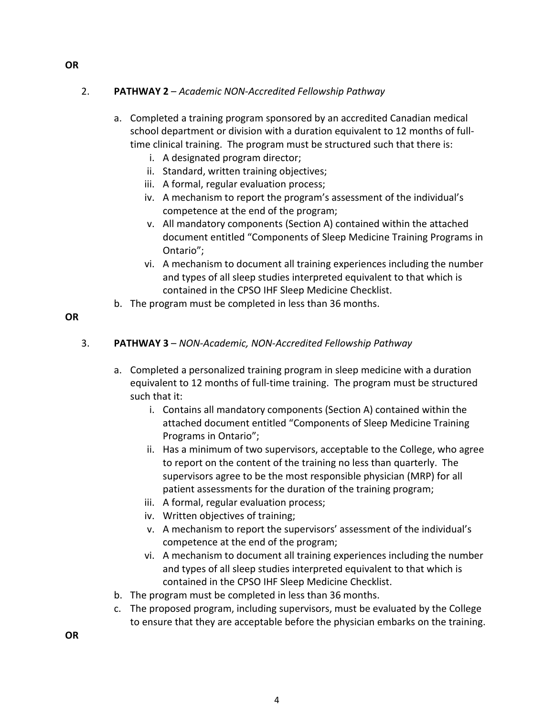## 2. **PATHWAY 2** – *Academic NON-Accredited Fellowship Pathway*

- a. Completed a training program sponsored by an accredited Canadian medical school department or division with a duration equivalent to 12 months of fulltime clinical training. The program must be structured such that there is:
	- i. A designated program director;
	- ii. Standard, written training objectives;
	- iii. A formal, regular evaluation process;
	- iv. A mechanism to report the program's assessment of the individual's competence at the end of the program;
	- v. All mandatory components (Section A) contained within the attached document entitled "Components of Sleep Medicine Training Programs in Ontario";
	- vi. A mechanism to document all training experiences including the number and types of all sleep studies interpreted equivalent to that which is contained in the CPSO IHF Sleep Medicine Checklist.
- b. The program must be completed in less than 36 months.

#### **OR**

#### 3. **PATHWAY 3** – *NON-Academic, NON-Accredited Fellowship Pathway*

- a. Completed a personalized training program in sleep medicine with a duration equivalent to 12 months of full-time training. The program must be structured such that it:
	- i. Contains all mandatory components (Section A) contained within the attached document entitled "Components of Sleep Medicine Training Programs in Ontario";
	- ii. Has a minimum of two supervisors, acceptable to the College, who agree to report on the content of the training no less than quarterly. The supervisors agree to be the most responsible physician (MRP) for all patient assessments for the duration of the training program;
	- iii. A formal, regular evaluation process;
	- iv. Written objectives of training;
	- v. A mechanism to report the supervisors' assessment of the individual's competence at the end of the program;
	- vi. A mechanism to document all training experiences including the number and types of all sleep studies interpreted equivalent to that which is contained in the CPSO IHF Sleep Medicine Checklist.
- b. The program must be completed in less than 36 months.
- c. The proposed program, including supervisors, must be evaluated by the College to ensure that they are acceptable before the physician embarks on the training.

**OR**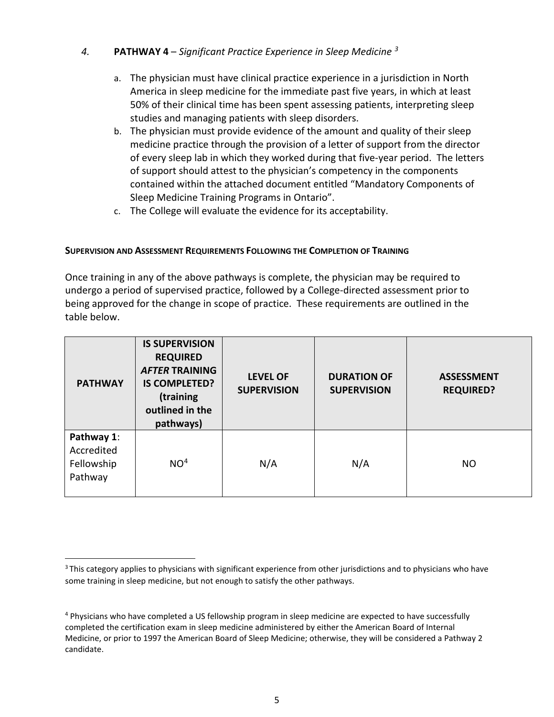## *4.* **PATHWAY 4** – *Significant Practice Experience in Sleep Medicine [3](#page-4-0)*

- a. The physician must have clinical practice experience in a jurisdiction in North America in sleep medicine for the immediate past five years, in which at least 50% of their clinical time has been spent assessing patients, interpreting sleep studies and managing patients with sleep disorders.
- b. The physician must provide evidence of the amount and quality of their sleep medicine practice through the provision of a letter of support from the director of every sleep lab in which they worked during that five-year period. The letters of support should attest to the physician's competency in the components contained within the attached document entitled "Mandatory Components of Sleep Medicine Training Programs in Ontario".
- c. The College will evaluate the evidence for its acceptability.

#### **SUPERVISION AND ASSESSMENT REQUIREMENTS FOLLOWING THE COMPLETION OF TRAINING**

Once training in any of the above pathways is complete, the physician may be required to undergo a period of supervised practice, followed by a College-directed assessment prior to being approved for the change in scope of practice. These requirements are outlined in the table below.

| <b>PATHWAY</b>                                    | <b>IS SUPERVISION</b><br><b>REQUIRED</b><br><b>AFTER TRAINING</b><br><b>IS COMPLETED?</b><br>(training<br>outlined in the<br>pathways) | <b>LEVEL OF</b><br><b>SUPERVISION</b> | <b>DURATION OF</b><br><b>SUPERVISION</b> | <b>ASSESSMENT</b><br><b>REQUIRED?</b> |
|---------------------------------------------------|----------------------------------------------------------------------------------------------------------------------------------------|---------------------------------------|------------------------------------------|---------------------------------------|
| Pathway 1:<br>Accredited<br>Fellowship<br>Pathway | NO <sup>4</sup>                                                                                                                        | N/A                                   | N/A                                      | <b>NO</b>                             |

<span id="page-4-0"></span><sup>&</sup>lt;sup>3</sup> This category applies to physicians with significant experience from other jurisdictions and to physicians who have some training in sleep medicine, but not enough to satisfy the other pathways.

<span id="page-4-1"></span><sup>&</sup>lt;sup>4</sup> Physicians who have completed a US fellowship program in sleep medicine are expected to have successfully completed the certification exam in sleep medicine administered by either the American Board of Internal Medicine, or prior to 1997 the American Board of Sleep Medicine; otherwise, they will be considered a Pathway 2 candidate.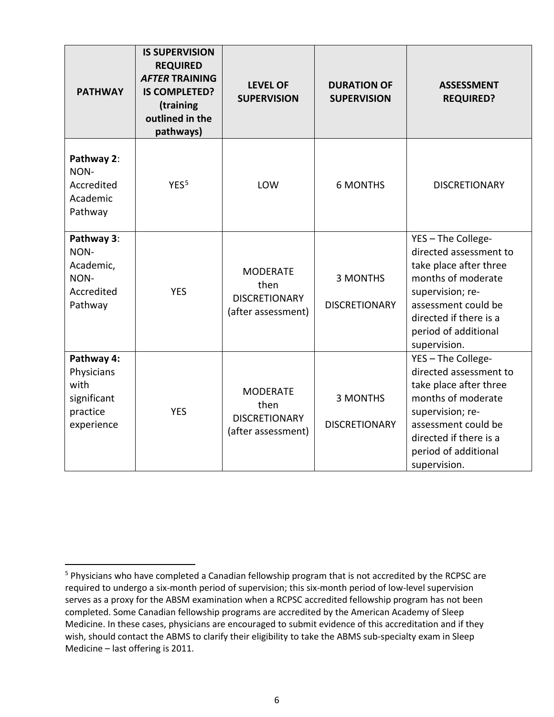| <b>PATHWAY</b>                                                            | <b>IS SUPERVISION</b><br><b>REQUIRED</b><br><b>AFTER TRAINING</b><br><b>IS COMPLETED?</b><br>(training<br>outlined in the<br>pathways) | <b>LEVEL OF</b><br><b>SUPERVISION</b>                                 | <b>DURATION OF</b><br><b>SUPERVISION</b> | <b>ASSESSMENT</b><br><b>REQUIRED?</b>                                                                                                                                                                     |
|---------------------------------------------------------------------------|----------------------------------------------------------------------------------------------------------------------------------------|-----------------------------------------------------------------------|------------------------------------------|-----------------------------------------------------------------------------------------------------------------------------------------------------------------------------------------------------------|
| Pathway 2:<br>NON-<br>Accredited<br>Academic<br>Pathway                   | YES <sup>5</sup>                                                                                                                       | LOW                                                                   | <b>6 MONTHS</b>                          | <b>DISCRETIONARY</b>                                                                                                                                                                                      |
| Pathway 3:<br>NON-<br>Academic,<br>NON-<br>Accredited<br>Pathway          | <b>YES</b>                                                                                                                             | <b>MODERATE</b><br>then<br><b>DISCRETIONARY</b><br>(after assessment) | <b>3 MONTHS</b><br><b>DISCRETIONARY</b>  | YES - The College-<br>directed assessment to<br>take place after three<br>months of moderate<br>supervision; re-<br>assessment could be<br>directed if there is a<br>period of additional<br>supervision. |
| Pathway 4:<br>Physicians<br>with<br>significant<br>practice<br>experience | <b>YES</b>                                                                                                                             | <b>MODERATE</b><br>then<br><b>DISCRETIONARY</b><br>(after assessment) | <b>3 MONTHS</b><br><b>DISCRETIONARY</b>  | YES - The College-<br>directed assessment to<br>take place after three<br>months of moderate<br>supervision; re-<br>assessment could be<br>directed if there is a<br>period of additional<br>supervision. |

<span id="page-5-0"></span><sup>5</sup> Physicians who have completed a Canadian fellowship program that is not accredited by the RCPSC are required to undergo a six-month period of supervision; this six-month period of low-level supervision serves as a proxy for the ABSM examination when a RCPSC accredited fellowship program has not been completed. Some Canadian fellowship programs are accredited by the American Academy of Sleep Medicine. In these cases, physicians are encouraged to submit evidence of this accreditation and if they wish, should contact the ABMS to clarify their eligibility to take the ABMS sub-specialty exam in Sleep Medicine – last offering is 2011.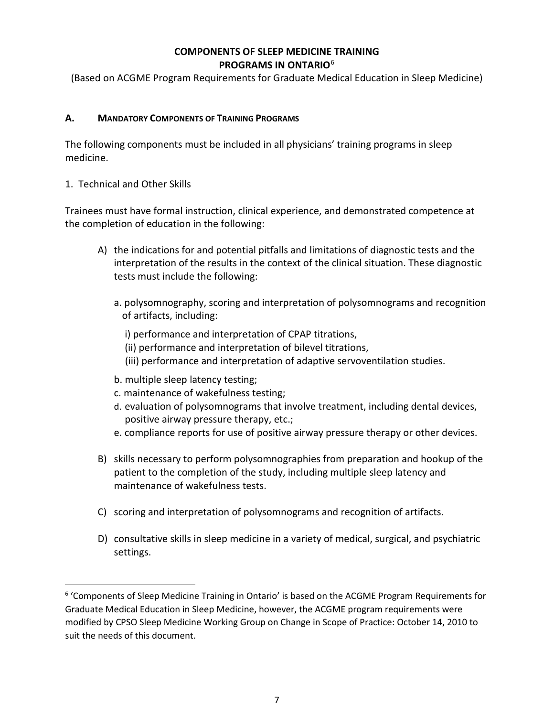## **COMPONENTS OF SLEEP MEDICINE TRAINING PROGRAMS IN ONTARIO**[6](#page-6-0)

(Based on ACGME Program Requirements for Graduate Medical Education in Sleep Medicine)

## **A. MANDATORY COMPONENTS OF TRAINING PROGRAMS**

The following components must be included in all physicians' training programs in sleep medicine.

#### 1. Technical and Other Skills

Trainees must have formal instruction, clinical experience, and demonstrated competence at the completion of education in the following:

- A) the indications for and potential pitfalls and limitations of diagnostic tests and the interpretation of the results in the context of the clinical situation. These diagnostic tests must include the following:
	- a. polysomnography, scoring and interpretation of polysomnograms and recognition of artifacts, including:
		- i) performance and interpretation of CPAP titrations,
		- (ii) performance and interpretation of bilevel titrations,
		- (iii) performance and interpretation of adaptive servoventilation studies.
	- b. multiple sleep latency testing;
	- c. maintenance of wakefulness testing;
	- d. evaluation of polysomnograms that involve treatment, including dental devices, positive airway pressure therapy, etc.;
	- e. compliance reports for use of positive airway pressure therapy or other devices.
- B) skills necessary to perform polysomnographies from preparation and hookup of the patient to the completion of the study, including multiple sleep latency and maintenance of wakefulness tests.
- C) scoring and interpretation of polysomnograms and recognition of artifacts.
- D) consultative skills in sleep medicine in a variety of medical, surgical, and psychiatric settings.

<span id="page-6-0"></span><sup>6</sup> 'Components of Sleep Medicine Training in Ontario' is based on the ACGME Program Requirements for Graduate Medical Education in Sleep Medicine, however, the ACGME program requirements were modified by CPSO Sleep Medicine Working Group on Change in Scope of Practice: October 14, 2010 to suit the needs of this document.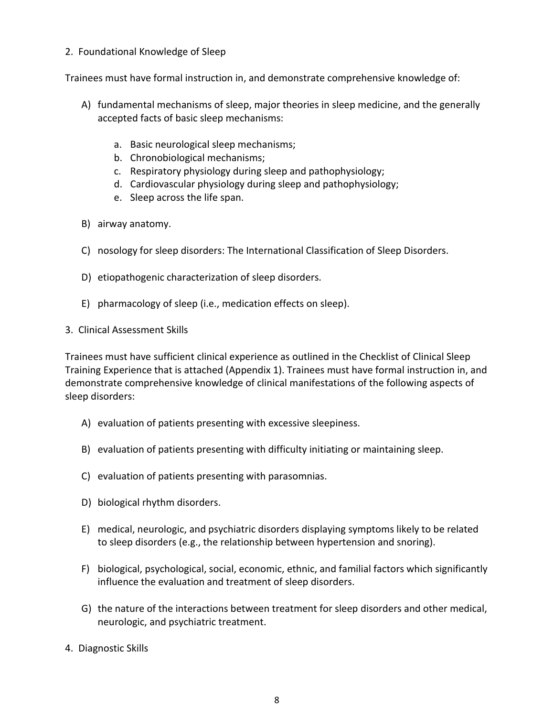### 2. Foundational Knowledge of Sleep

Trainees must have formal instruction in, and demonstrate comprehensive knowledge of:

- A) fundamental mechanisms of sleep, major theories in sleep medicine, and the generally accepted facts of basic sleep mechanisms:
	- a. Basic neurological sleep mechanisms;
	- b. Chronobiological mechanisms;
	- c. Respiratory physiology during sleep and pathophysiology;
	- d. Cardiovascular physiology during sleep and pathophysiology;
	- e. Sleep across the life span.
- B) airway anatomy.
- C) nosology for sleep disorders: The International Classification of Sleep Disorders.
- D) etiopathogenic characterization of sleep disorders.
- E) pharmacology of sleep (i.e., medication effects on sleep).
- 3. Clinical Assessment Skills

Trainees must have sufficient clinical experience as outlined in the Checklist of Clinical Sleep Training Experience that is attached (Appendix 1). Trainees must have formal instruction in, and demonstrate comprehensive knowledge of clinical manifestations of the following aspects of sleep disorders:

- A) evaluation of patients presenting with excessive sleepiness.
- B) evaluation of patients presenting with difficulty initiating or maintaining sleep.
- C) evaluation of patients presenting with parasomnias.
- D) biological rhythm disorders.
- E) medical, neurologic, and psychiatric disorders displaying symptoms likely to be related to sleep disorders (e.g., the relationship between hypertension and snoring).
- F) biological, psychological, social, economic, ethnic, and familial factors which significantly influence the evaluation and treatment of sleep disorders.
- G) the nature of the interactions between treatment for sleep disorders and other medical, neurologic, and psychiatric treatment.
- 4. Diagnostic Skills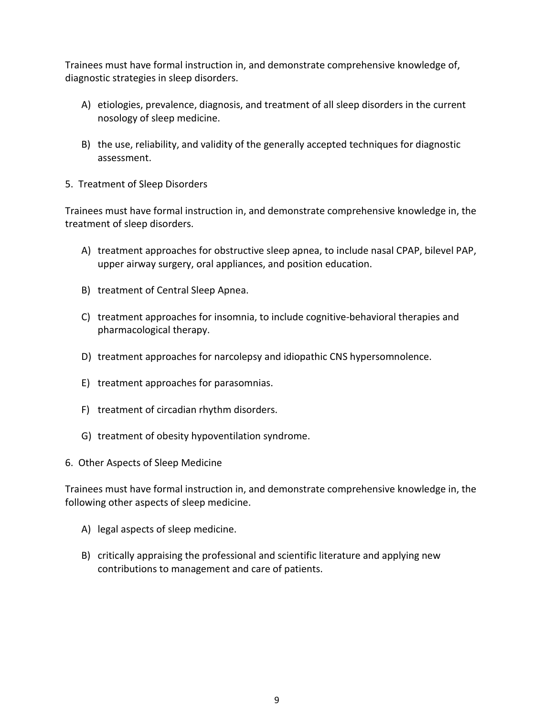Trainees must have formal instruction in, and demonstrate comprehensive knowledge of, diagnostic strategies in sleep disorders.

- A) etiologies, prevalence, diagnosis, and treatment of all sleep disorders in the current nosology of sleep medicine.
- B) the use, reliability, and validity of the generally accepted techniques for diagnostic assessment.
- 5. Treatment of Sleep Disorders

Trainees must have formal instruction in, and demonstrate comprehensive knowledge in, the treatment of sleep disorders.

- A) treatment approaches for obstructive sleep apnea, to include nasal CPAP, bilevel PAP, upper airway surgery, oral appliances, and position education.
- B) treatment of Central Sleep Apnea.
- C) treatment approaches for insomnia, to include cognitive-behavioral therapies and pharmacological therapy.
- D) treatment approaches for narcolepsy and idiopathic CNS hypersomnolence.
- E) treatment approaches for parasomnias.
- F) treatment of circadian rhythm disorders.
- G) treatment of obesity hypoventilation syndrome.
- 6. Other Aspects of Sleep Medicine

Trainees must have formal instruction in, and demonstrate comprehensive knowledge in, the following other aspects of sleep medicine.

- A) legal aspects of sleep medicine.
- B) critically appraising the professional and scientific literature and applying new contributions to management and care of patients.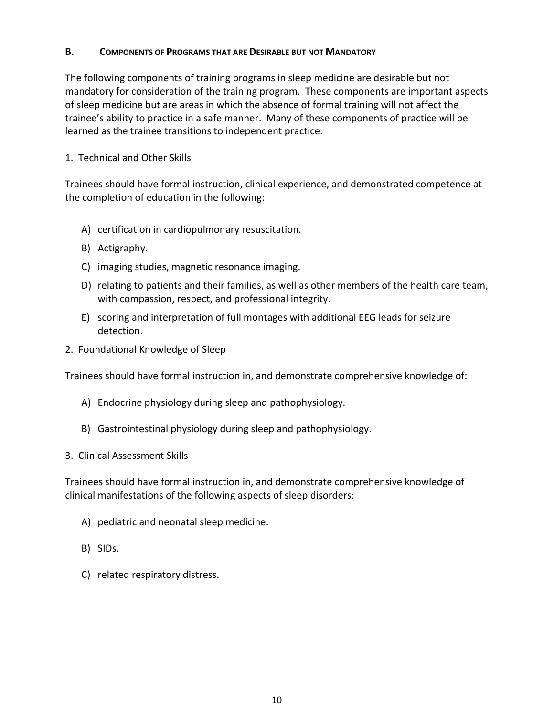#### **B. COMPONENTS OF PROGRAMS THAT ARE DESIRABLE BUT NOT MANDATORY**

The following components of training programs in sleep medicine are desirable but not mandatory for consideration of the training program. These components are important aspects of sleep medicine but are areas in which the absence of formal training will not affect the trainee's ability to practice in a safe manner. Many of these components of practice will be learned as the trainee transitions to independent practice.

## 1. Technical and Other Skills

Trainees should have formal instruction, clinical experience, and demonstrated competence at the completion of education in the following:

- A) certification in cardiopulmonary resuscitation.
- B) Actigraphy.
- C) imaging studies, magnetic resonance imaging.
- D) relating to patients and their families, as well as other members of the health care team, with compassion, respect, and professional integrity.
- E) scoring and interpretation of full montages with additional EEG leads for seizure detection.
- 2. Foundational Knowledge of Sleep

Trainees should have formal instruction in, and demonstrate comprehensive knowledge of:

- A) Endocrine physiology during sleep and pathophysiology.
- B) Gastrointestinal physiology during sleep and pathophysiology.
- 3. Clinical Assessment Skills

Trainees should have formal instruction in, and demonstrate comprehensive knowledge of clinical manifestations of the following aspects of sleep disorders:

- A) pediatric and neonatal sleep medicine.
- B) SIDs.
- C) related respiratory distress.